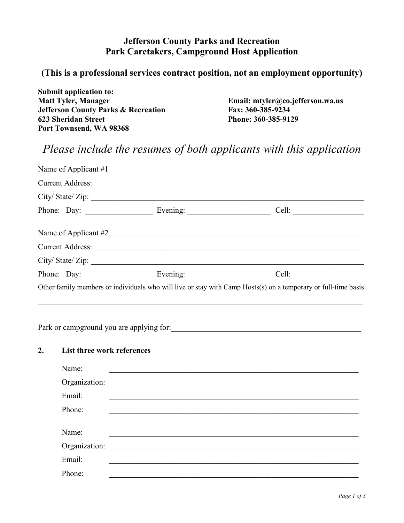## **Jefferson County Parks and Recreation Park Caretakers, Campground Host Application**

## **(This is a professional services contract position, not an employment opportunity)**

**Submit application to: Jefferson County Parks & Recreation 623 Sheridan Street Phone: 360-385-9129 Port Townsend, WA 98368**

Email: mtyler@co.jefferson.wa.us<br>Fax: 360-385-9234

## *Please include the resumes of both applicants with this application*

|                                  | Name of Applicant #2                                                                                            |
|----------------------------------|-----------------------------------------------------------------------------------------------------------------|
|                                  |                                                                                                                 |
|                                  | City/State/Zip:                                                                                                 |
|                                  |                                                                                                                 |
|                                  | Other family members or individuals who will live or stay with Camp Hosts(s) on a temporary or full-time basis. |
|                                  |                                                                                                                 |
| 2.<br>List three work references |                                                                                                                 |
|                                  |                                                                                                                 |

| Name:         |                                                 |
|---------------|-------------------------------------------------|
| Organization: | <u> 1989 - Andrea Brand, amerikansk politik</u> |
| Email:        |                                                 |
| Phone:        |                                                 |
|               |                                                 |
| Name:         |                                                 |
| Organization: |                                                 |
| Email:        |                                                 |
| Phone:        |                                                 |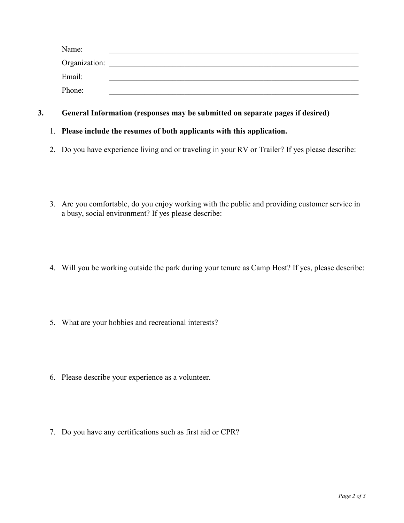| Name:         |  |
|---------------|--|
| Organization: |  |
| Email:        |  |
| Phone:        |  |

## **3. General Information (responses may be submitted on separate pages if desired)**

- 1. **Please include the resumes of both applicants with this application.**
- 2. Do you have experience living and or traveling in your RV or Trailer? If yes please describe:
- 3. Are you comfortable, do you enjoy working with the public and providing customer service in a busy, social environment? If yes please describe:
- 4. Will you be working outside the park during your tenure as Camp Host? If yes, please describe:
- 5. What are your hobbies and recreational interests?
- 6. Please describe your experience as a volunteer.
- 7. Do you have any certifications such as first aid or CPR?